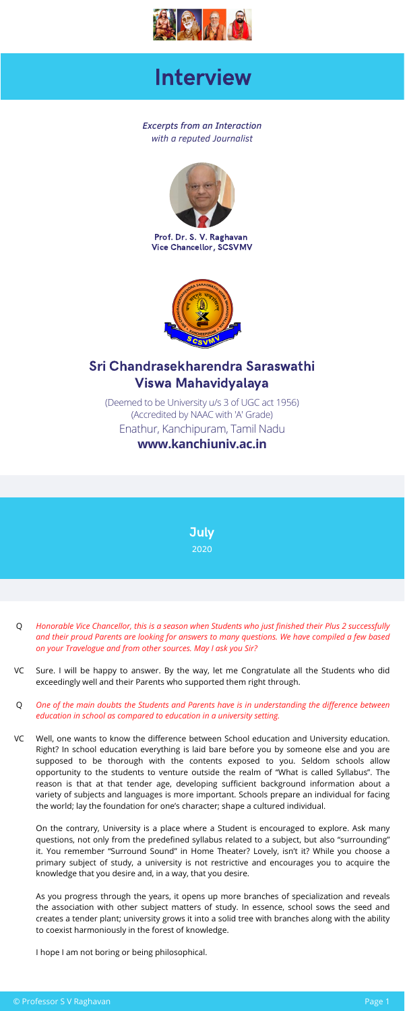Prof. Dr. S. V. [Raghavan](https://kanchiuniv.ac.in/honble%20VCProfile.htm) Vice [Chancellor,](https://kanchiuniv.ac.in/honble%20VCProfile.htm) SCSVMV





(Deemed to be [University](https://www.kanchiuniv.ac.in/) u/s 3 of UGC act 1956) [\(Accredited](https://www.kanchiuniv.ac.in/) by NAAC with 'A' Grade) Enathur, [Kanchipuram,](https://www.kanchiuniv.ac.in/) Tamil Nadu **[www.kanchiuniv.ac.in](https://www.kanchiuniv.ac.in/)**

*Excerpts from an Interaction with a reputed Journalist*





# Interview

## Sri Chandrasekharendra Saraswathi Viswa Mahavidyalaya

- *Honorable Vice Chancellor, this is a season when Students who just finished their Plus 2 successfully* Q *and their proud Parents are looking for answers to many questions. We have compiled a few based on your Travelogue and from other sources. May I ask you Sir?*
- Sure. I will be happy to answer. By the way, let me Congratulate all the Students who did exceedingly well and their Parents who supported them right through. VC
- *One of the main doubts the Students and Parents have is in understanding the difference between* Q *education in school as compared to education in a university setting.*
- Well, one wants to know the difference between School education and University education. Right? In school education everything is laid bare before you by someone else and you are supposed to be thorough with the contents exposed to you. Seldom schools allow opportunity to the students to venture outside the realm of "What is called Syllabus". The reason is that at that tender age, developing sufficient background information about a variety of subjects and languages is more important. Schools prepare an individual for facing the world; lay the foundation for one's character; shape a cultured individual. VC

On the contrary, University is a place where a Student is encouraged to explore. Ask many questions, not only from the predefined syllabus related to a subject, but also "surrounding" it. You remember "Surround Sound" in Home Theater? Lovely, isn't it? While you choose a primary subject of study, a university is not restrictive and encourages you to acquire the knowledge that you desire and, in a way, that you desire.

As you progress through the years, it opens up more branches of specialization and reveals the association with other subject matters of study. In essence, school sows the seed and creates a tender plant; university grows it into a solid tree with branches along with the ability to coexist harmoniously in the forest of knowledge.

I hope I am not boring or being philosophical.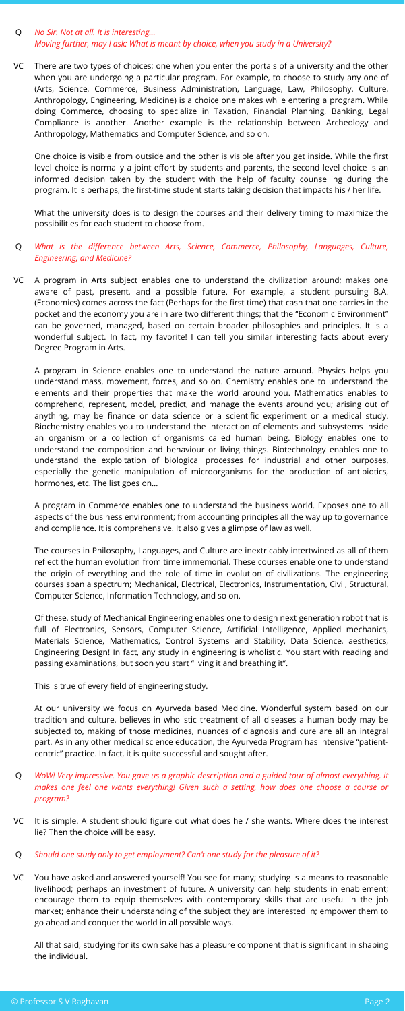#### *No Sir. Not at all. It is interesting…* Q *Moving further, may I ask: What is meant by choice, when you study in a University?*

One choice is visible from outside and the other is visible after you get inside. While the first level choice is normally a joint effort by students and parents, the second level choice is an informed decision taken by the student with the help of faculty counselling during the program. It is perhaps, the first-time student starts taking decision that impacts his / her life.

What the university does is to design the courses and their delivery timing to maximize the possibilities for each student to choose from.

### *What is the difference between Arts, Science, Commerce, Philosophy, Languages, Culture,* Q *Engineering, and Medicine?*

A program in Science enables one to understand the nature around. Physics helps you understand mass, movement, forces, and so on. Chemistry enables one to understand the elements and their properties that make the world around you. Mathematics enables to comprehend, represent, model, predict, and manage the events around you; arising out of anything, may be finance or data science or a scientific experiment or a medical study. Biochemistry enables you to understand the interaction of elements and subsystems inside an organism or a collection of organisms called human being. Biology enables one to understand the composition and behaviour or living things. Biotechnology enables one to understand the exploitation of biological processes for industrial and other purposes, especially the genetic manipulation of microorganisms for the production of antibiotics, hormones, etc. The list goes on…

There are two types of choices; one when you enter the portals of a university and the other when you are undergoing a particular program. For example, to choose to study any one of (Arts, Science, Commerce, Business Administration, Language, Law, Philosophy, Culture, Anthropology, Engineering, Medicine) is a choice one makes while entering a program. While doing Commerce, choosing to specialize in Taxation, Financial Planning, Banking, Legal Compliance is another. Another example is the relationship between Archeology and Anthropology, Mathematics and Computer Science, and so on. VC

A program in Commerce enables one to understand the business world. Exposes one to all aspects of the business environment; from accounting principles all the way up to governance and compliance. It is comprehensive. It also gives a glimpse of law as well.

The courses in Philosophy, Languages, and Culture are inextricably intertwined as all of them reflect the human evolution from time immemorial. These courses enable one to understand the origin of everything and the role of time in evolution of civilizations. The engineering courses span a spectrum; Mechanical, Electrical, Electronics, Instrumentation, Civil, Structural, Computer Science, Information Technology, and so on.

A program in Arts subject enables one to understand the civilization around; makes one aware of past, present, and a possible future. For example, a student pursuing B.A. (Economics) comes across the fact (Perhaps for the first time) that cash that one carries in the pocket and the economy you are in are two different things; that the "Economic Environment" can be governed, managed, based on certain broader philosophies and principles. It is a wonderful subject. In fact, my favorite! I can tell you similar interesting facts about every Degree Program in Arts. VC

Of these, study of Mechanical Engineering enables one to design next generation robot that is full of Electronics, Sensors, Computer Science, Artificial Intelligence, Applied mechanics, Materials Science, Mathematics, Control Systems and Stability, Data Science, aesthetics, Engineering Design! In fact, any study in engineering is wholistic. You start with reading and passing examinations, but soon you start "living it and breathing it".

This is true of every field of engineering study.

At our university we focus on Ayurveda based Medicine. Wonderful system based on our tradition and culture, believes in wholistic treatment of all diseases a human body may be subjected to, making of those medicines, nuances of diagnosis and cure are all an integral part. As in any other medical science education, the Ayurveda Program has intensive "patient centric" practice. In fact, it is quite successful and sought after.

- *WoW! Very impressive. You gave us a graphic description and a guided tour of almost everything. It* Q *makes one feel one wants everything! Given such a setting, how does one choose a course or program?*
- It is simple. A student should figure out what does he / she wants. Where does the interest lie? Then the choice will be easy. VC
- *Should one study only to get employment? Can't one study for the pleasure of it?* Q
- You have asked and answered yourself! You see for many; studying is a means to reasonable livelihood; perhaps an investment of future. A university can help students in enablement; encourage them to equip themselves with contemporary skills that are useful in the job market; enhance their understanding of the subject they are interested in; empower them to go ahead and conquer the world in all possible ways. VC

All that said, studying for its own sake has a pleasure component that is significant in shaping the individual.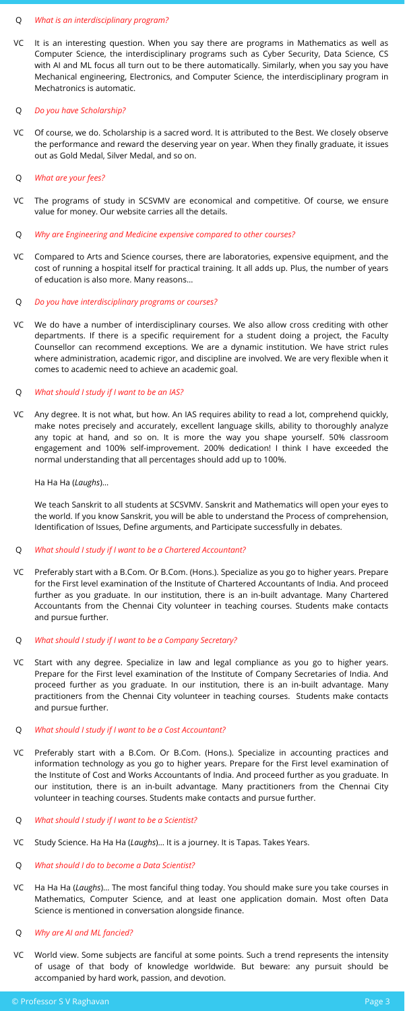We teach Sanskrit to all students at SCSVMV. Sanskrit and Mathematics will open your eyes to the world. If you know Sanskrit, you will be able to understand the Process of comprehension, Identification of Issues, Define arguments, and Participate successfully in debates.

Ha Ha Ha (*Laughs*)…

#### *What is an interdisciplinary program?* Q

It is an interesting question. When you say there are programs in Mathematics as well as Computer Science, the interdisciplinary programs such as Cyber Security, Data Science, CS with AI and ML focus all turn out to be there automatically. Similarly, when you say you have Mechanical engineering, Electronics, and Computer Science, the interdisciplinary program in Mechatronics is automatic. VC

#### *Do you have Scholarship?* Q

- Of course, we do. Scholarship is a sacred word. It is attributed to the Best. We closely observe the performance and reward the deserving year on year. When they finally graduate, it issues out as Gold Medal, Silver Medal, and so on. VC
- *What are your fees?* Q
- The programs of study in SCSVMV are economical and competitive. Of course, we ensure value for money. Our website carries all the details. VC
- *Why are Engineering and Medicine expensive compared to other courses?* Q
- Compared to Arts and Science courses, there are laboratories, expensive equipment, and the cost of running a hospital itself for practical training. It all adds up. Plus, the number of years of education is also more. Many reasons… VC
- *Do you have interdisciplinary programs or courses?* Q
- We do have a number of interdisciplinary courses. We also allow cross crediting with other departments. If there is a specific requirement for a student doing a project, the Faculty Counsellor can recommend exceptions. We are a dynamic institution. We have strict rules where administration, academic rigor, and discipline are involved. We are very flexible when it comes to academic need to achieve an academic goal. VC

#### *What should I study if I want to be an IAS?* Q

Any degree. It is not what, but how. An IAS requires ability to read a lot, comprehend quickly, make notes precisely and accurately, excellent language skills, ability to thoroughly analyze any topic at hand, and so on. It is more the way you shape yourself. 50% classroom engagement and 100% self-improvement. 200% dedication! I think I have exceeded the normal understanding that all percentages should add up to 100%. VC

#### *What should I study if I want to be a Chartered Accountant?* Q

- Preferably start with a B.Com. Or B.Com. (Hons.). Specialize as you go to higher years. Prepare for the First level examination of the Institute of Chartered Accountants of India. And proceed further as you graduate. In our institution, there is an in-built advantage. Many Chartered Accountants from the Chennai City volunteer in teaching courses. Students make contacts and pursue further. VC
- *What should I study if I want to be a Company Secretary?* Q
- Start with any degree. Specialize in law and legal compliance as you go to higher years. Prepare for the First level examination of the Institute of Company Secretaries of India. And proceed further as you graduate. In our institution, there is an in-built advantage. Many practitioners from the Chennai City volunteer in teaching courses. Students make contacts and pursue further. VC
- *What should I study if I want to be a Cost Accountant?* Q
- Preferably start with a B.Com. Or B.Com. (Hons.). Specialize in accounting practices and information technology as you go to higher years. Prepare for the First level examination of the Institute of Cost and Works Accountants of India. And proceed further as you graduate. In our institution, there is an in-built advantage. Many practitioners from the Chennai City volunteer in teaching courses. Students make contacts and pursue further. VC
- *What should I study if I want to be a Scientist?* Q
- Study Science. Ha Ha Ha (*Laughs*)… It is a journey. It is Tapas. Takes Years. VC
- *What should I do to become a Data Scientist?* Q
- Ha Ha Ha (*Laughs*)… The most fanciful thing today. You should make sure you take courses in Mathematics, Computer Science, and at least one application domain. Most often Data Science is mentioned in conversation alongside finance. VC
- *Why are AI and ML fancied?* Q
- World view. Some subjects are fanciful at some points. Such a trend represents the intensity of usage of that body of knowledge worldwide. But beware: any pursuit should be accompanied by hard work, passion, and devotion. VC